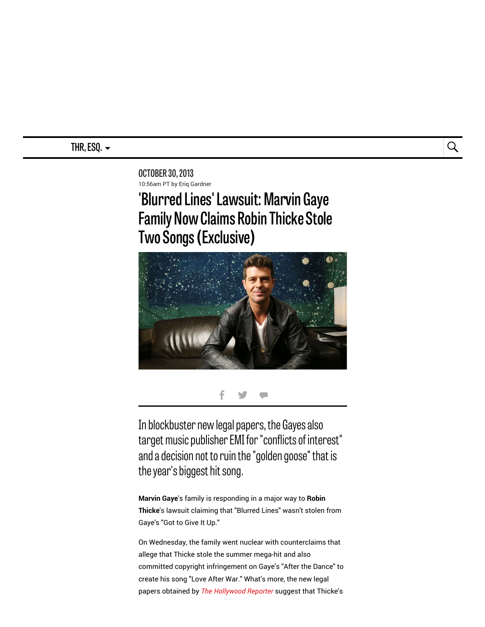# THR, ESQ.  $\sim$   $\qquad \qquad \overline{\qquad \qquad }$

OCTOBER 30,2013 10:56am PT by Eriq Gardner

# 'Blurred Lines' Lawsuit: Marvin Gaye **Family Now Claims Robin Thicke Stole Two Songs (Exclusive)**



## $f \circ f =$

In blockbuster new legal papers, the Gayes also target music publisher EMI for "conflicts of interest" and a decision not to ruin the "golden goose" that is the year's biggest hit song.

Marvin Gaye's family is responding in a major way to Robin Thicke's lawsuit claiming that "Blurred Lines" wasn't stolen from Gaye's "Got to Give It Up."

On Wednesday, the family went nuclear with counterclaims that allege that Thicke stole the summer mega-hit and also committed copyright infringement on Gaye's "After the Dance" to create his song "Love After War." What's more, the new legal papers obtained by The [Hollywood](http://thr.com/) Reporter suggest that Thicke's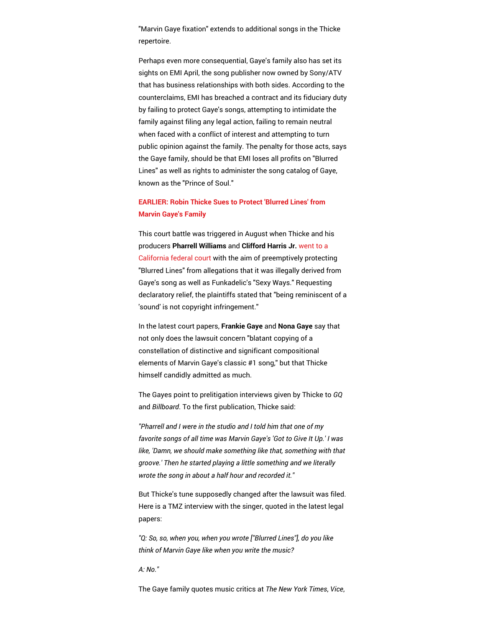"Marvin Gaye fixation" extends to additional songs in the Thicke repertoire.

Perhaps even more consequential, Gaye's family also has set its sights on EMI April, the song publisher now owned by Sony/ATV that has business relationships with both sides. According to the counterclaims, EMI has breached a contract and its fiduciary duty by failing to protect Gaye's songs, attempting to intimidate the family against filing any legal action, failing to remain neutral when faced with a conflict of interest and attempting to turn public opinion against the family. The penalty for those acts, says the Gaye family, should be that EMI loses all profits on "Blurred Lines" as well as rights to administer the song catalog of Gaye, known as the "Prince of Soul."

### [EARLIER:](http://www.hollywoodreporter.com/thr-esq/robin-thicke-sues-protect-blurred-607492) Robin Thicke Sues to Protect 'Blurred Lines' from Marvin Gaye's Family

This court battle was triggered in August when Thicke and his producers Pharrell Williams and Clifford Harris Jr. went to a California federal court with the aim of [preemptively](http://www.hollywoodreporter.com/thr-esq/robin-thicke-sues-protect-blurred-607492) protecting "Blurred Lines" from allegations that it was illegally derived from Gaye's song as well as Funkadelic's "Sexy Ways." Requesting declaratory relief, the plaintiffs stated that "being reminiscent of a 'sound' is not copyright infringement."

In the latest court papers, Frankie Gaye and Nona Gaye say that not only does the lawsuit concern "blatant copying of a constellation of distinctive and significant compositional elements of Marvin Gaye's classic #1 song," but that Thicke himself candidly admitted as much.

The Gayes point to prelitigation interviews given by Thicke to GQ and Billboard. To the first publication, Thicke said:

"Pharrell and I were in the studio and I told him that one of my favorite songs of all time was Marvin Gaye's 'Got to Give It Up.' I was like, 'Damn, we should make something like that, something with that [gro](http://www.hollywoodreporter.com/thr-esq/blurred-lines-lawsuit-marvin-gaye-651427#comment-1102736616)ove.' Then he started playing a little something and we literally wrote the song in about a half hour and recorded it."

But Thicke's tune supposedly changed after the lawsuit was filed. Here is a TMZ interview with the singer, quoted in the latest legal papers:

"Q: So, so, when you, when you wrote ["Blurred Lines"], do you like think of Marvin Gaye like when you write the music?

A: No."

The Gaye family quotes music critics at The New York Times, Vice,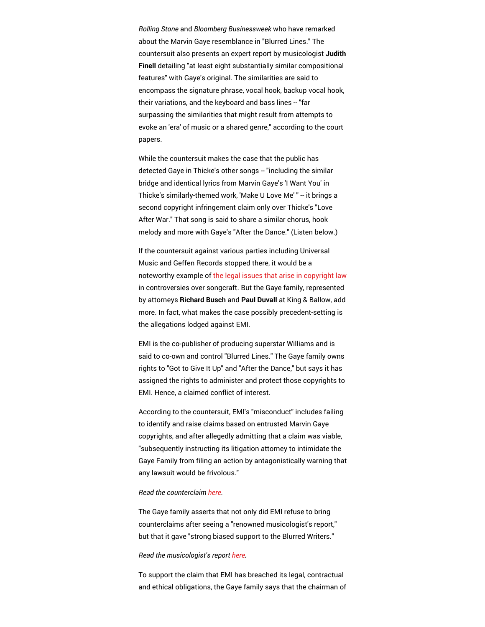Rolling Stone and Bloomberg Businessweek who have remarked about the Marvin Gaye resemblance in "Blurred Lines." The countersuit also presents an expert report by musicologist Judith Finell detailing "at least eight substantially similar compositional features" with Gaye's original. The similarities are said to encompass the signature phrase, vocal hook, backup vocal hook, their v[aria](http://www.hollywoodreporter.com/thr-esq/blurred-lines-lawsuit-marvin-gaye-651427#comment-1111338615)tions, and the keyboard and bass lines -- "far surpassing the similarities that might result from attempts to evoke an 'era' of music or a shared genre," according to the court papers.

While the countersuit makes the case that the public has detected Gaye in Thicke's other songs -- "including the similar bridge and identical lyrics from Marvin Gaye's 'I Want You' in Thicke's similarly-themed work, 'Make U Love Me' " -- it brings a second copyright infringement claim only over Thicke's "Love After War." That song is said to share a similar chorus, hook melody and more with Gaye's "After the Dance." (Listen below.)

If the countersuit against various parties including Universal Music and Geffen Records stopped there, it would be a noteworthy example of the legal issues that arise in [copyright](http://www.hollywoodreporter.com/thr-esq/robin-thickes-blurred-lines-marvin-620787) law in controversies over songcraft. But the Gaye family, represented by attorneys Richard Busch and Paul Duvall at King & Ballow, add more. In fact, what makes the case possibly precedent-setting is the allegations lodged against EMI.

EMI is the co-publisher of producing superstar Williams and is said to co-own and control "Blurred Lines." The Gaye family owns rights to "Got to Give It Up" and "After the Dance," but says it has assigned the rights to administer and protect those copyrights to EMI. Hence, a claimed conflict of interest.

According to the countersuit, EMI's "misconduct" includes failing to identify and raise claims based on entrusted Marvin Gaye copyrights, and after allegedly admitting that a claim was viable, "subsequently instructing its litigation attorney to intimidate the Gaye Family from filing an action by antagonistically warning that any lawsuit would be frivolous."

#### Read the counterclaim [here.](http://www.hollywoodreporter.com/sites/default/files/custom/Documents/ESQ/gayecounterclaim.pdf)

The Gaye family asserts that not only did EMI refuse to bring counterclaims after seeing a "renowned musicologist's report," but that it gave "strong biased support to the Blurred Writers."

#### Read the musicologist's report [here.](http://www.hollywoodreporter.com/sites/default/files/custom/Documents/ESQ/musicologyblurred.pdf)

To support the claim that EMI has breached its legal, contractual and ethical obligations, the Gaye family says that the chairman of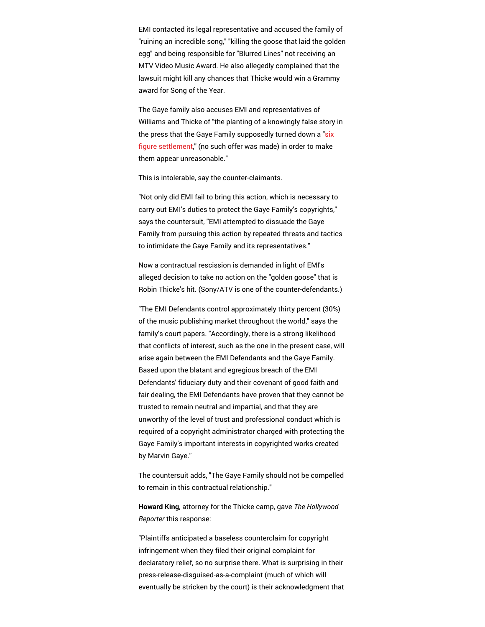EMI contacted its legal representative and accused the family of "ruining an incredible song," "killing the goose that laid the golden egg" and being responsible for "Blurred Lines" not receiving an MTV Video Music Award. He also allegedly complained that the lawsuit might kill any chances that Thicke would win a Grammy award for Song of the Year.

The Gaye family also accuses EMI and representatives of [Wil](http://www.hollywoodreporter.com/thr-esq/blurred-lines-lawsuit-marvin-gaye-651427#comment-1103402319)liams and Thicke of "the planting of a knowingly false story in the press that the Gaye Family supposedly turned down a "six figure [settlement,"](http://www.hollywoodreporter.com/thr-esq/blurred-lines-legal-battle-marvin-613551) (no such offer was made) in order to make them appear unreasonable."

This is intolerable, say the counter-claimants.

"Not only did EMI fail to bring this action, which is necessary to carry out EMI's duties to protect the Gaye Family's copyrights," says the countersuit, "EMI attempted to dissuade the Gaye Family from pursuing this action by repeated threats and tactics to intimidate the Gaye Family and its representatives."

Now a contractual rescission is demanded in light of EMI's alleged decision to take no action on the "golden goose" that is Robin Thicke's hit. (Sony/ATV is one of the counter-defendants.)

"The EMI Defendants control approximately thirty percent (30%) of the music publishing market throughout the world," says the family's court papers. "Accordingly, there is a strong likelihood that conflicts of interest, such as the one in the present case, will arise again between the EMI Defendants and the Gaye Family. Based upon the blatant and egregious breach of the EMI Defendants' fiduciary duty and their covenant of good faith and fair dealing, the EMI Defendants have proven that they cannot be trusted to remain neutral and impartial, and that they are unworthy of the level of trust and professional conduct which is required of a copyright administrator charged with protecting the Gaye Family's important interests in copyrighted works created by Marvin Gaye."

The countersuit adds, "The Gaye Family should not be compelled to remain in this contractual relationship."

Howard King, attorney for the Thicke camp, gave The Hollywood Reporter this response:

"Plaintiffs anticipated a baseless counterclaim for copyright infringement when they filed their original complaint for declaratory relief, so no surprise there. What is surprising in their press-release-disguised-as-a-complaint (much of which will eventually be stricken by the court) is their acknowledgment that